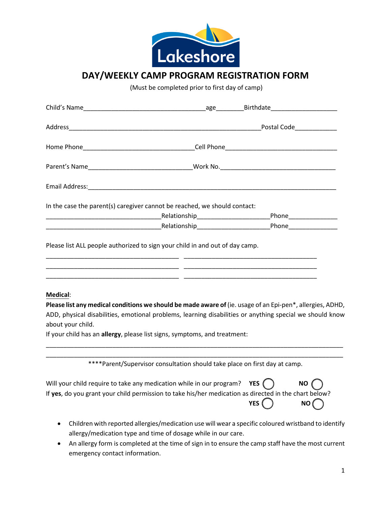

## **DAY/WEEKLY CAMP PROGRAM REGISTRATION FORM**

(Must be completed prior to first day of camp)

|                   | In the case the parent(s) caregiver cannot be reached, we should contact:                                                                                                               |                                |
|-------------------|-----------------------------------------------------------------------------------------------------------------------------------------------------------------------------------------|--------------------------------|
|                   |                                                                                                                                                                                         |                                |
|                   |                                                                                                                                                                                         |                                |
| <b>Medical:</b>   |                                                                                                                                                                                         |                                |
|                   | Please list any medical conditions we should be made aware of (ie. usage of an Epi-pen*, allergies, ADHD,                                                                               |                                |
|                   | ADD, physical disabilities, emotional problems, learning disabilities or anything special we should know                                                                                |                                |
| about your child. |                                                                                                                                                                                         |                                |
|                   | If your child has an allergy, please list signs, symptoms, and treatment:                                                                                                               |                                |
|                   | ****Parent/Supervisor consultation should take place on first day at camp.                                                                                                              |                                |
|                   | Will your child require to take any medication while in our program? YES $( )$<br>If yes, do you grant your child permission to take his/her medication as directed in the chart below? | NO I<br>YES <sup>(</sup><br>NO |
|                   | Children with reported allergies/medication use will wear a specific coloured wristband to identify                                                                                     |                                |

- allergy/medication type and time of dosage while in our care. • An allergy form is completed at the time of sign in to ensure the camp staff have the most current
- emergency contact information.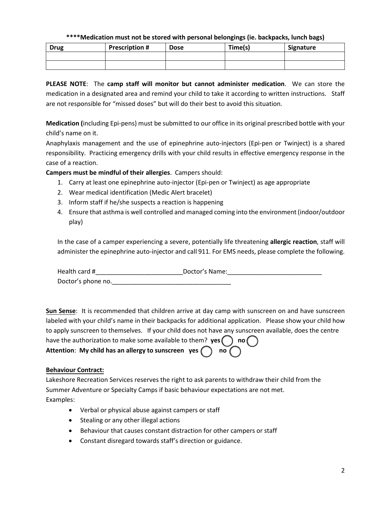#### **\*\*\*\*Medication must not be stored with personal belongings (ie. backpacks, lunch bags)**

| <b>Drug</b> | <b>Prescription #</b> | <b>Dose</b> | Time(s) | Signature |
|-------------|-----------------------|-------------|---------|-----------|
|             |                       |             |         |           |
|             |                       |             |         |           |

**PLEASE NOTE**: The **camp staff will monitor but cannot administer medication**. We can store the medication in a designated area and remind your child to take it according to written instructions. Staff are not responsible for "missed doses" but will do their best to avoid this situation.

**Medication (**including Epi-pens) must be submitted to our office in its original prescribed bottle with your child's name on it.

Anaphylaxis management and the use of epinephrine auto-injectors (Epi-pen or Twinject) is a shared responsibility. Practicing emergency drills with your child results in effective emergency response in the case of a reaction.

**Campers must be mindful of their allergies**. Campers should:

- 1. Carry at least one epinephrine auto-injector (Epi-pen or Twinject) as age appropriate
- 2. Wear medical identification (Medic Alert bracelet)
- 3. Inform staff if he/she suspects a reaction is happening
- 4. Ensure that asthma is well controlled and managed coming into the environment (indoor/outdoor play)

In the case of a camper experiencing a severe, potentially life threatening **allergic reaction**, staff will administer the epinephrine auto-injector and call 911. For EMS needs, please complete the following.

Health card #\_\_\_\_\_\_\_\_\_\_\_\_\_\_\_\_\_\_\_\_\_\_\_\_\_Doctor's Name:\_\_\_\_\_\_\_\_\_\_\_\_\_\_\_\_\_\_\_\_\_\_\_\_\_\_\_ Doctor's phone no.\_\_\_\_\_\_\_\_\_\_\_\_\_\_\_\_\_\_\_\_\_\_\_\_\_\_\_\_\_\_\_\_\_\_

**Sun Sense**: It is recommended that children arrive at day camp with sunscreen on and have sunscreen labeled with your child's name in their backpacks for additional application. Please show your child how to apply sunscreen to themselves. If your child does not have any sunscreen available, does the centre have the authorization to make some available to them?  $yes( ) no($ **Attention:** My child has an allergy to sunscreen yes  $\bigcap$  no  $\bigcap$ 

#### **Behaviour Contract:**

Lakeshore Recreation Services reserves the right to ask parents to withdraw their child from the Summer Adventure or Specialty Camps if basic behaviour expectations are not met. Examples:

- Verbal or physical abuse against campers or staff
- Stealing or any other illegal actions
- Behaviour that causes constant distraction for other campers or staff
- Constant disregard towards staff's direction or guidance.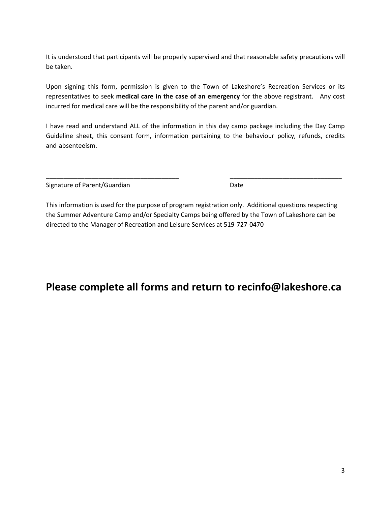It is understood that participants will be properly supervised and that reasonable safety precautions will be taken.

Upon signing this form, permission is given to the Town of Lakeshore's Recreation Services or its representatives to seek **medical care in the case of an emergency** for the above registrant. Any cost incurred for medical care will be the responsibility of the parent and/or guardian.

I have read and understand ALL of the information in this day camp package including the Day Camp Guideline sheet, this consent form, information pertaining to the behaviour policy, refunds, credits and absenteeism.

| Signature of Parent/Guardian | Date |
|------------------------------|------|

This information is used for the purpose of program registration only. Additional questions respecting the Summer Adventure Camp and/or Specialty Camps being offered by the Town of Lakeshore can be directed to the Manager of Recreation and Leisure Services at 519-727-0470

\_\_\_\_\_\_\_\_\_\_\_\_\_\_\_\_\_\_\_\_\_\_\_\_\_\_\_\_\_\_\_\_\_\_\_\_\_\_ \_\_\_\_\_\_\_\_\_\_\_\_\_\_\_\_\_\_\_\_\_\_\_\_\_\_\_\_\_\_\_\_

## **Please complete all forms and return to recinfo@lakeshore.ca**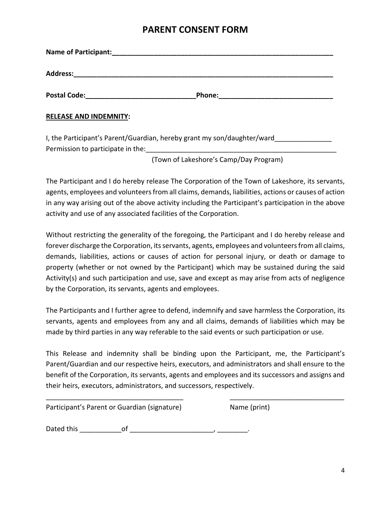### **PARENT CONSENT FORM**

|                                                                         | Phone: 2008 2010 2010 2010 2010 2010 2010 2011 2021 2021 2021 2021 2021 2022 2023 2024 2025 2026 2027 2028 20                                                                                                                                                                                                      |
|-------------------------------------------------------------------------|--------------------------------------------------------------------------------------------------------------------------------------------------------------------------------------------------------------------------------------------------------------------------------------------------------------------|
| <b>RELEASE AND INDEMNITY:</b>                                           |                                                                                                                                                                                                                                                                                                                    |
| I, the Participant's Parent/Guardian, hereby grant my son/daughter/ward |                                                                                                                                                                                                                                                                                                                    |
|                                                                         | $\sqrt{2}$ $\sqrt{2}$ $\sqrt{2}$ $\sqrt{2}$ $\sqrt{2}$ $\sqrt{2}$ $\sqrt{2}$ $\sqrt{2}$ $\sqrt{2}$ $\sqrt{2}$ $\sqrt{2}$ $\sqrt{2}$ $\sqrt{2}$ $\sqrt{2}$ $\sqrt{2}$ $\sqrt{2}$ $\sqrt{2}$ $\sqrt{2}$ $\sqrt{2}$ $\sqrt{2}$ $\sqrt{2}$ $\sqrt{2}$ $\sqrt{2}$ $\sqrt{2}$ $\sqrt{2}$ $\sqrt{2}$ $\sqrt{2}$ $\sqrt{2$ |

(Town of Lakeshore's Camp/Day Program)

The Participant and I do hereby release The Corporation of the Town of Lakeshore, its servants, agents, employees and volunteers from all claims, demands, liabilities, actions or causes of action in any way arising out of the above activity including the Participant's participation in the above activity and use of any associated facilities of the Corporation.

Without restricting the generality of the foregoing, the Participant and I do hereby release and forever discharge the Corporation, its servants, agents, employees and volunteers from all claims, demands, liabilities, actions or causes of action for personal injury, or death or damage to property (whether or not owned by the Participant) which may be sustained during the said Activity(s) and such participation and use, save and except as may arise from acts of negligence by the Corporation, its servants, agents and employees.

The Participants and I further agree to defend, indemnify and save harmless the Corporation, its servants, agents and employees from any and all claims, demands of liabilities which may be made by third parties in any way referable to the said events or such participation or use.

This Release and indemnity shall be binding upon the Participant, me, the Participant's Parent/Guardian and our respective heirs, executors, and administrators and shall ensure to the benefit of the Corporation, its servants, agents and employees and its successors and assigns and their heirs, executors, administrators, and successors, respectively.

| Participant's Parent or Guardian (signature) |    | Name (print) |  |
|----------------------------------------------|----|--------------|--|
| Dated this                                   | Ωt |              |  |